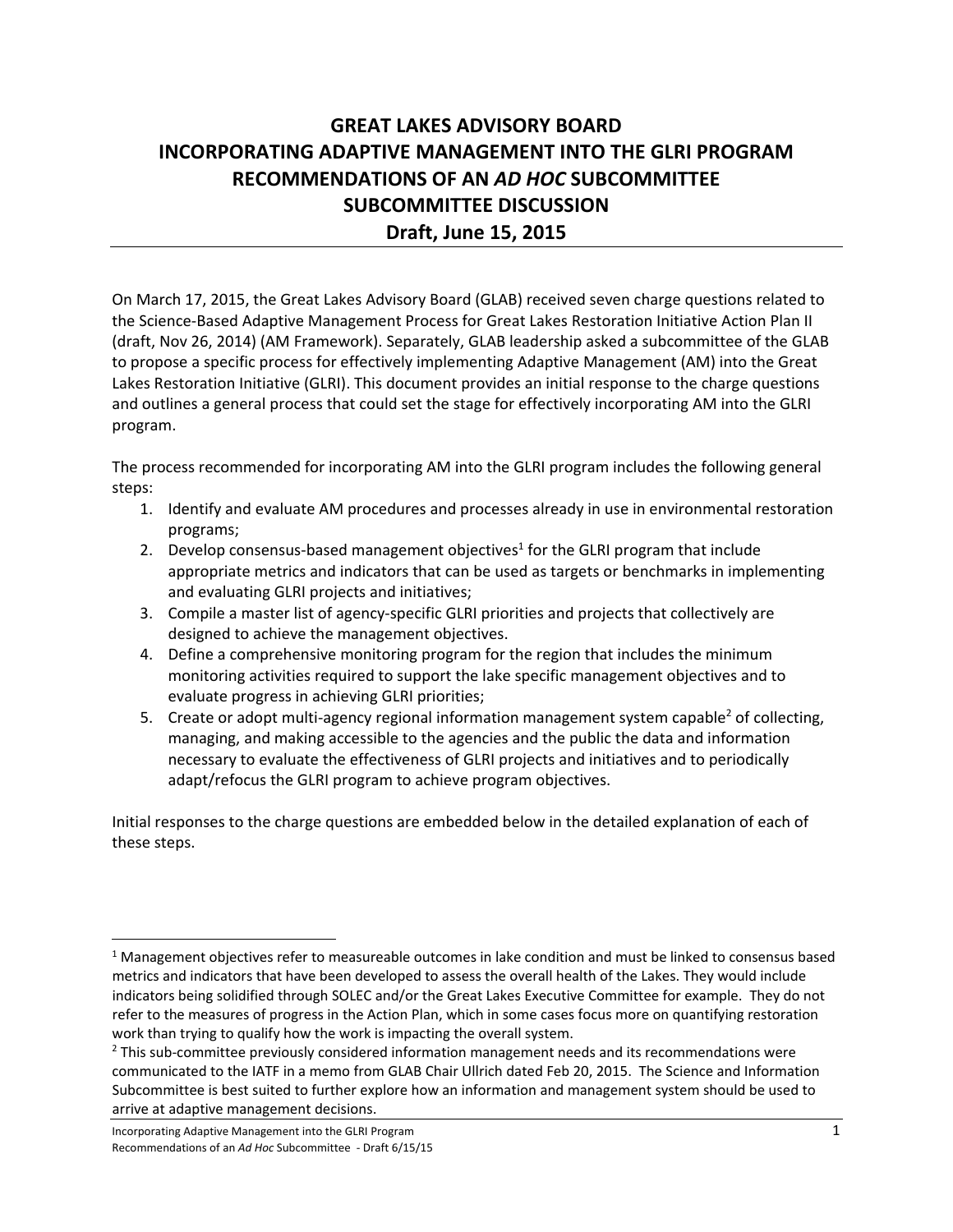# **GREAT LAKES ADVISORY BOARD INCORPORATING ADAPTIVE MANAGEMENT INTO THE GLRI PROGRAM RECOMMENDATIONS OF AN** *AD HOC* **SUBCOMMITTEE SUBCOMMITTEE DISCUSSION Draft, June 15, 2015**

On March 17, 2015, the Great Lakes Advisory Board (GLAB) received seven charge questions related to the Science‐Based Adaptive Management Process for Great Lakes Restoration Initiative Action Plan II (draft, Nov 26, 2014) (AM Framework). Separately, GLAB leadership asked a subcommittee of the GLAB to propose a specific process for effectively implementing Adaptive Management (AM) into the Great Lakes Restoration Initiative (GLRI). This document provides an initial response to the charge questions and outlines a general process that could set the stage for effectively incorporating AM into the GLRI program.

The process recommended for incorporating AM into the GLRI program includes the following general steps:

- 1. Identify and evaluate AM procedures and processes already in use in environmental restoration programs;
- 2. Develop consensus-based management objectives<sup>1</sup> for the GLRI program that include appropriate metrics and indicators that can be used as targets or benchmarks in implementing and evaluating GLRI projects and initiatives;
- 3. Compile a master list of agency‐specific GLRI priorities and projects that collectively are designed to achieve the management objectives.
- 4. Define a comprehensive monitoring program for the region that includes the minimum monitoring activities required to support the lake specific management objectives and to evaluate progress in achieving GLRI priorities;
- 5. Create or adopt multi-agency regional information management system capable<sup>2</sup> of collecting, managing, and making accessible to the agencies and the public the data and information necessary to evaluate the effectiveness of GLRI projects and initiatives and to periodically adapt/refocus the GLRI program to achieve program objectives.

Initial responses to the charge questions are embedded below in the detailed explanation of each of these steps.

 $1$  Management objectives refer to measureable outcomes in lake condition and must be linked to consensus based metrics and indicators that have been developed to assess the overall health of the Lakes. They would include indicators being solidified through SOLEC and/or the Great Lakes Executive Committee for example. They do not refer to the measures of progress in the Action Plan, which in some cases focus more on quantifying restoration work than trying to qualify how the work is impacting the overall system.

<sup>&</sup>lt;sup>2</sup> This sub-committee previously considered information management needs and its recommendations were communicated to the IATF in a memo from GLAB Chair Ullrich dated Feb 20, 2015. The Science and Information Subcommittee is best suited to further explore how an information and management system should be used to arrive at adaptive management decisions.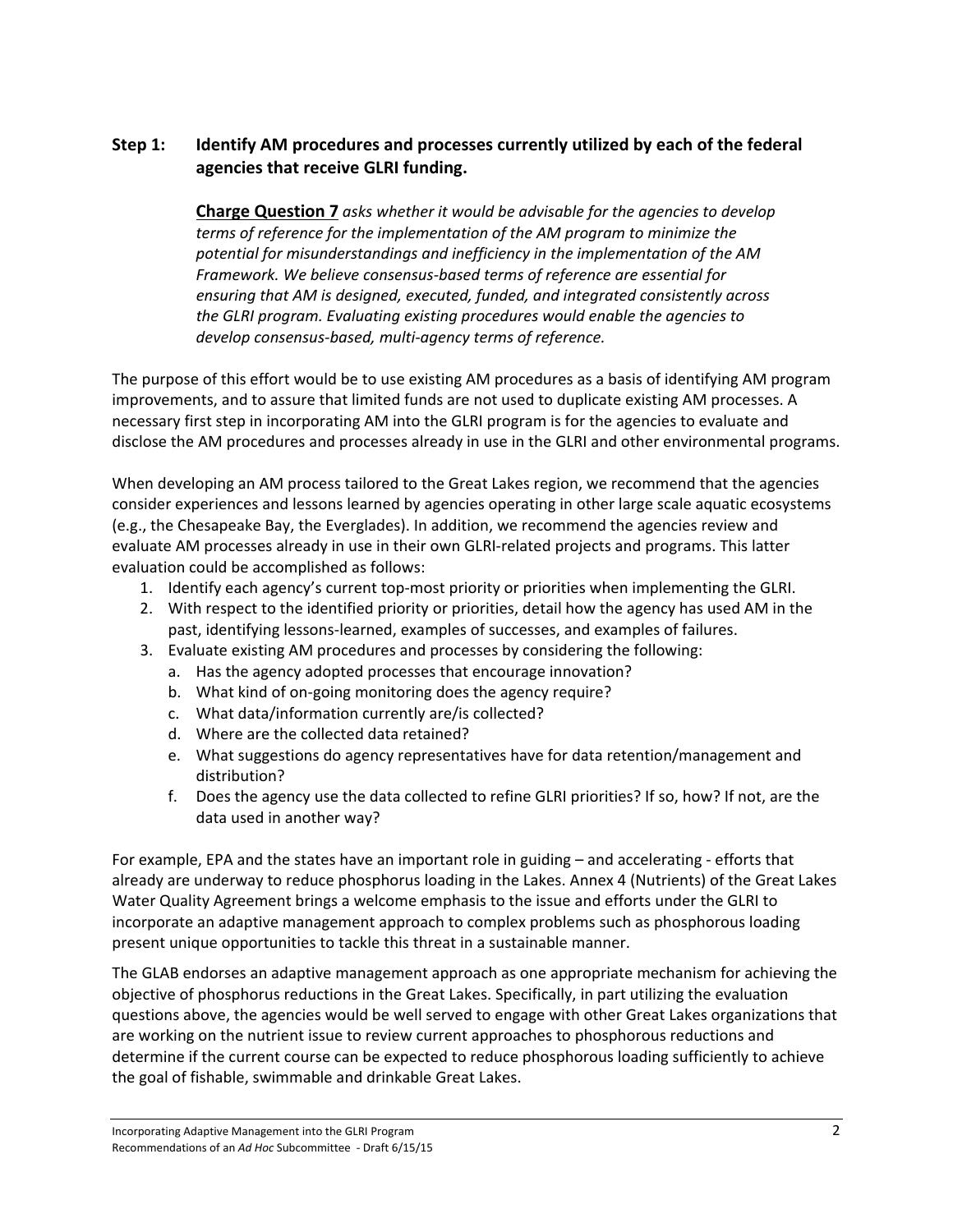# **Step 1: Identify AM procedures and processes currently utilized by each of the federal agencies that receive GLRI funding.**

**Charge Question 7** *asks whether it would be advisable for the agencies to develop terms of reference for the implementation of the AM program to minimize the potential for misunderstandings and inefficiency in the implementation of the AM Framework. We believe consensus‐based terms of reference are essential for ensuring that AM is designed, executed, funded, and integrated consistently across the GLRI program. Evaluating existing procedures would enable the agencies to develop consensus‐based, multi‐agency terms of reference.*

The purpose of this effort would be to use existing AM procedures as a basis of identifying AM program improvements, and to assure that limited funds are not used to duplicate existing AM processes. A necessary first step in incorporating AM into the GLRI program is for the agencies to evaluate and disclose the AM procedures and processes already in use in the GLRI and other environmental programs.

When developing an AM process tailored to the Great Lakes region, we recommend that the agencies consider experiences and lessons learned by agencies operating in other large scale aquatic ecosystems (e.g., the Chesapeake Bay, the Everglades). In addition, we recommend the agencies review and evaluate AM processes already in use in their own GLRI‐related projects and programs. This latter evaluation could be accomplished as follows:

- 1. Identify each agency's current top‐most priority or priorities when implementing the GLRI.
- 2. With respect to the identified priority or priorities, detail how the agency has used AM in the past, identifying lessons‐learned, examples of successes, and examples of failures.
- 3. Evaluate existing AM procedures and processes by considering the following:
	- a. Has the agency adopted processes that encourage innovation?
	- b. What kind of on‐going monitoring does the agency require?
	- c. What data/information currently are/is collected?
	- d. Where are the collected data retained?
	- e. What suggestions do agency representatives have for data retention/management and distribution?
	- f. Does the agency use the data collected to refine GLRI priorities? If so, how? If not, are the data used in another way?

For example, EPA and the states have an important role in guiding – and accelerating ‐ efforts that already are underway to reduce phosphorus loading in the Lakes. Annex 4 (Nutrients) of the Great Lakes Water Quality Agreement brings a welcome emphasis to the issue and efforts under the GLRI to incorporate an adaptive management approach to complex problems such as phosphorous loading present unique opportunities to tackle this threat in a sustainable manner.

The GLAB endorses an adaptive management approach as one appropriate mechanism for achieving the objective of phosphorus reductions in the Great Lakes. Specifically, in part utilizing the evaluation questions above, the agencies would be well served to engage with other Great Lakes organizations that are working on the nutrient issue to review current approaches to phosphorous reductions and determine if the current course can be expected to reduce phosphorous loading sufficiently to achieve the goal of fishable, swimmable and drinkable Great Lakes.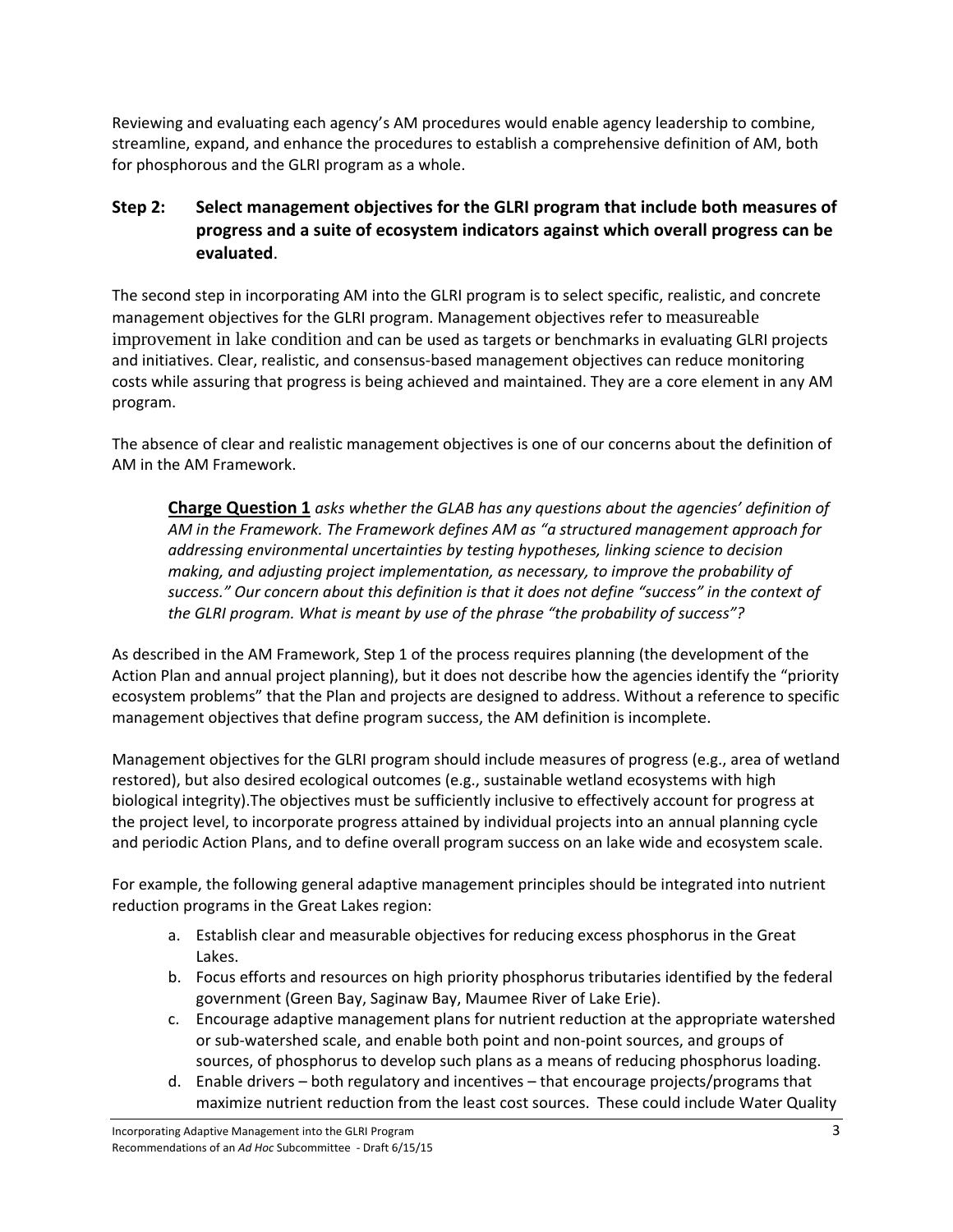Reviewing and evaluating each agency's AM procedures would enable agency leadership to combine, streamline, expand, and enhance the procedures to establish a comprehensive definition of AM, both for phosphorous and the GLRI program as a whole.

### **Step 2: Select management objectives for the GLRI program that include both measures of progress and a suite of ecosystem indicators against which overall progress can be evaluated**.

The second step in incorporating AM into the GLRI program is to select specific, realistic, and concrete management objectives for the GLRI program. Management objectives refer to measureable improvement in lake condition and can be used as targets or benchmarks in evaluating GLRI projects and initiatives. Clear, realistic, and consensus‐based management objectives can reduce monitoring costs while assuring that progress is being achieved and maintained. They are a core element in any AM program.

The absence of clear and realistic management objectives is one of our concerns about the definition of AM in the AM Framework.

**Charge Question 1** *asks whether the GLAB has any questions about the agencies' definition of AM in the Framework. The Framework defines AM as "a structured management approach for addressing environmental uncertainties by testing hypotheses, linking science to decision making, and adjusting project implementation, as necessary, to improve the probability of success." Our concern about this definition is that it does not define "success" in the context of the GLRI program. What is meant by use of the phrase "the probability of success"?* 

As described in the AM Framework, Step 1 of the process requires planning (the development of the Action Plan and annual project planning), but it does not describe how the agencies identify the "priority ecosystem problems" that the Plan and projects are designed to address. Without a reference to specific management objectives that define program success, the AM definition is incomplete.

Management objectives for the GLRI program should include measures of progress (e.g., area of wetland restored), but also desired ecological outcomes (e.g., sustainable wetland ecosystems with high biological integrity).The objectives must be sufficiently inclusive to effectively account for progress at the project level, to incorporate progress attained by individual projects into an annual planning cycle and periodic Action Plans, and to define overall program success on an lake wide and ecosystem scale.

For example, the following general adaptive management principles should be integrated into nutrient reduction programs in the Great Lakes region:

- a. Establish clear and measurable objectives for reducing excess phosphorus in the Great Lakes.
- b. Focus efforts and resources on high priority phosphorus tributaries identified by the federal government (Green Bay, Saginaw Bay, Maumee River of Lake Erie).
- c. Encourage adaptive management plans for nutrient reduction at the appropriate watershed or sub‐watershed scale, and enable both point and non‐point sources, and groups of sources, of phosphorus to develop such plans as a means of reducing phosphorus loading.
- d. Enable drivers both regulatory and incentives that encourage projects/programs that maximize nutrient reduction from the least cost sources. These could include Water Quality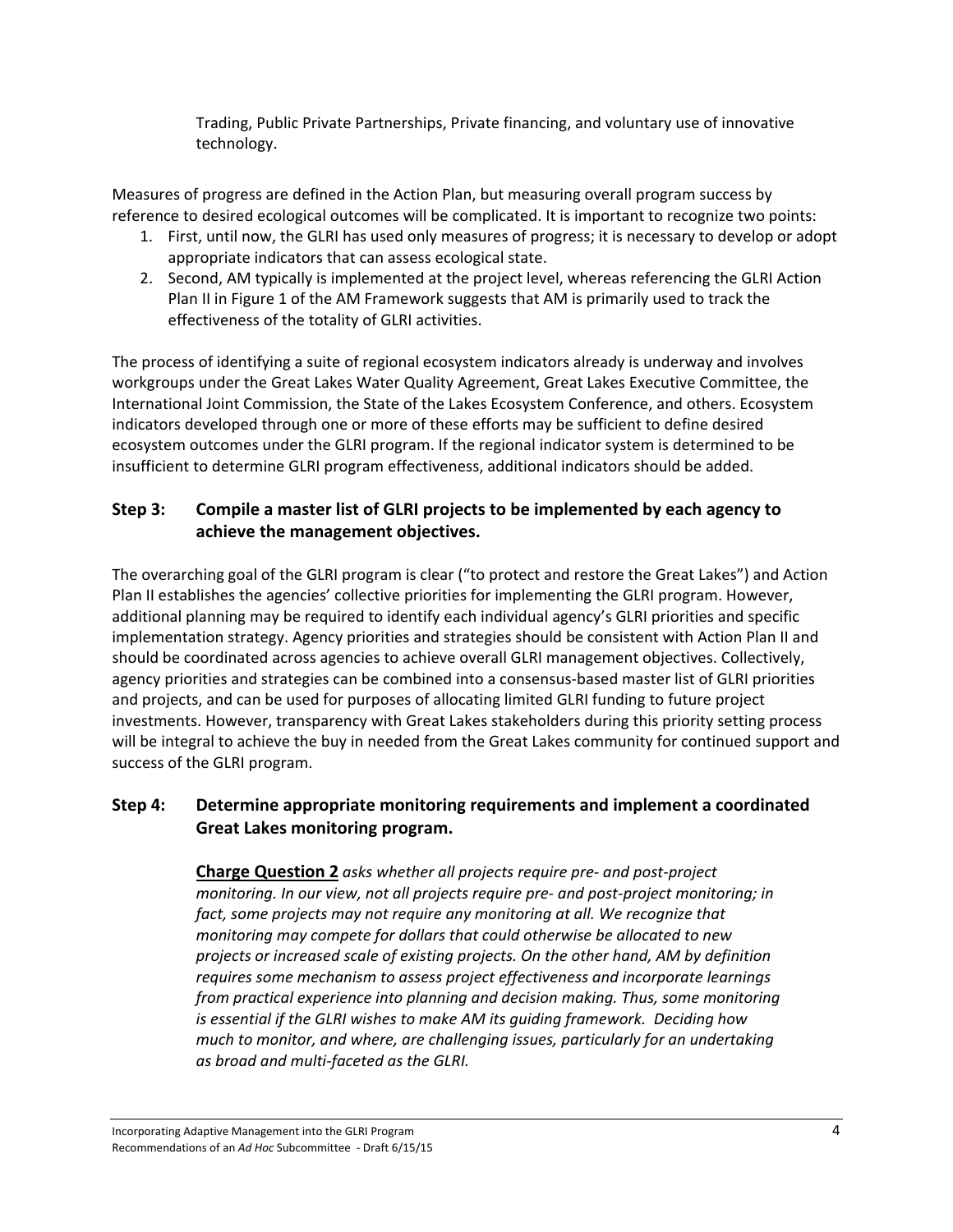Trading, Public Private Partnerships, Private financing, and voluntary use of innovative technology.

Measures of progress are defined in the Action Plan, but measuring overall program success by reference to desired ecological outcomes will be complicated. It is important to recognize two points:

- 1. First, until now, the GLRI has used only measures of progress; it is necessary to develop or adopt appropriate indicators that can assess ecological state.
- 2. Second, AM typically is implemented at the project level, whereas referencing the GLRI Action Plan II in Figure 1 of the AM Framework suggests that AM is primarily used to track the effectiveness of the totality of GLRI activities.

The process of identifying a suite of regional ecosystem indicators already is underway and involves workgroups under the Great Lakes Water Quality Agreement, Great Lakes Executive Committee, the International Joint Commission, the State of the Lakes Ecosystem Conference, and others. Ecosystem indicators developed through one or more of these efforts may be sufficient to define desired ecosystem outcomes under the GLRI program. If the regional indicator system is determined to be insufficient to determine GLRI program effectiveness, additional indicators should be added.

# **Step 3: Compile a master list of GLRI projects to be implemented by each agency to achieve the management objectives.**

The overarching goal of the GLRI program is clear ("to protect and restore the Great Lakes") and Action Plan II establishes the agencies' collective priorities for implementing the GLRI program. However, additional planning may be required to identify each individual agency's GLRI priorities and specific implementation strategy. Agency priorities and strategies should be consistent with Action Plan II and should be coordinated across agencies to achieve overall GLRI management objectives. Collectively, agency priorities and strategies can be combined into a consensus‐based master list of GLRI priorities and projects, and can be used for purposes of allocating limited GLRI funding to future project investments. However, transparency with Great Lakes stakeholders during this priority setting process will be integral to achieve the buy in needed from the Great Lakes community for continued support and success of the GLRI program.

# **Step 4: Determine appropriate monitoring requirements and implement a coordinated Great Lakes monitoring program.**

**Charge Question 2** *asks whether all projects require pre‐ and post‐project monitoring. In our view, not all projects require pre‐ and post‐project monitoring; in fact, some projects may not require any monitoring at all. We recognize that monitoring may compete for dollars that could otherwise be allocated to new projects or increased scale of existing projects. On the other hand, AM by definition requires some mechanism to assess project effectiveness and incorporate learnings from practical experience into planning and decision making. Thus, some monitoring is essential if the GLRI wishes to make AM its guiding framework. Deciding how much to monitor, and where, are challenging issues, particularly for an undertaking as broad and multi‐faceted as the GLRI.*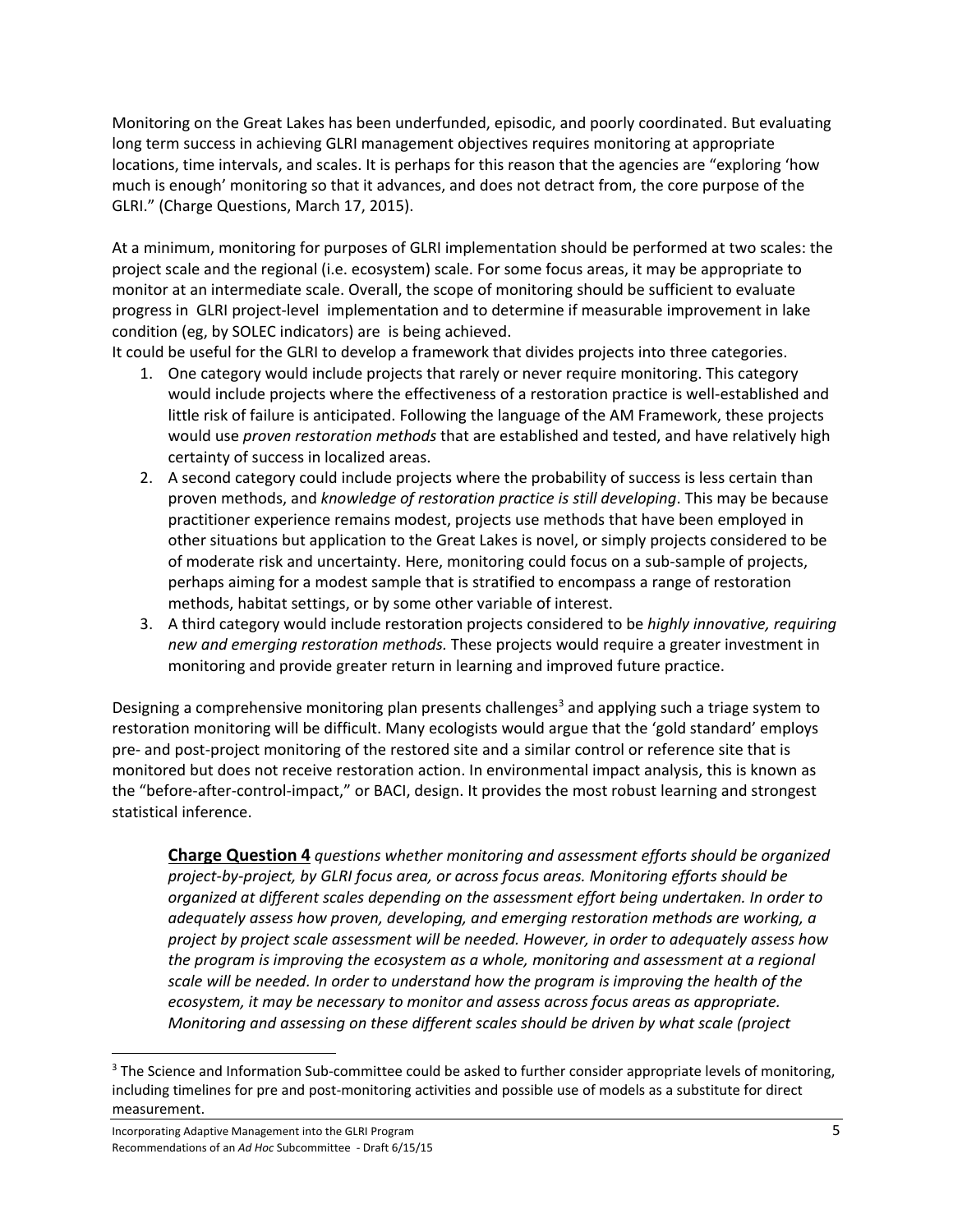Monitoring on the Great Lakes has been underfunded, episodic, and poorly coordinated. But evaluating long term success in achieving GLRI management objectives requires monitoring at appropriate locations, time intervals, and scales. It is perhaps for this reason that the agencies are "exploring 'how much is enough' monitoring so that it advances, and does not detract from, the core purpose of the GLRI." (Charge Questions, March 17, 2015).

At a minimum, monitoring for purposes of GLRI implementation should be performed at two scales: the project scale and the regional (i.e. ecosystem) scale. For some focus areas, it may be appropriate to monitor at an intermediate scale. Overall, the scope of monitoring should be sufficient to evaluate progress in GLRI project‐level implementation and to determine if measurable improvement in lake condition (eg, by SOLEC indicators) are is being achieved.

It could be useful for the GLRI to develop a framework that divides projects into three categories.

- 1. One category would include projects that rarely or never require monitoring. This category would include projects where the effectiveness of a restoration practice is well‐established and little risk of failure is anticipated. Following the language of the AM Framework, these projects would use *proven restoration methods* that are established and tested, and have relatively high certainty of success in localized areas.
- 2. A second category could include projects where the probability of success is less certain than proven methods, and *knowledge of restoration practice is still developing*. This may be because practitioner experience remains modest, projects use methods that have been employed in other situations but application to the Great Lakes is novel, or simply projects considered to be of moderate risk and uncertainty. Here, monitoring could focus on a sub‐sample of projects, perhaps aiming for a modest sample that is stratified to encompass a range of restoration methods, habitat settings, or by some other variable of interest.
- 3. A third category would include restoration projects considered to be *highly innovative, requiring new and emerging restoration methods.* These projects would require a greater investment in monitoring and provide greater return in learning and improved future practice.

Designing a comprehensive monitoring plan presents challenges<sup>3</sup> and applying such a triage system to restoration monitoring will be difficult. Many ecologists would argue that the 'gold standard' employs pre‐ and post‐project monitoring of the restored site and a similar control or reference site that is monitored but does not receive restoration action. In environmental impact analysis, this is known as the "before‐after‐control‐impact," or BACI, design. It provides the most robust learning and strongest statistical inference.

**Charge Question 4** *questions whether monitoring and assessment efforts should be organized project‐by‐project, by GLRI focus area, or across focus areas. Monitoring efforts should be organized at different scales depending on the assessment effort being undertaken. In order to adequately assess how proven, developing, and emerging restoration methods are working, a project by project scale assessment will be needed. However, in order to adequately assess how the program is improving the ecosystem as a whole, monitoring and assessment at a regional scale will be needed. In order to understand how the program is improving the health of the ecosystem, it may be necessary to monitor and assess across focus areas as appropriate. Monitoring and assessing on these different scales should be driven by what scale (project*

<sup>&</sup>lt;sup>3</sup> The Science and Information Sub-committee could be asked to further consider appropriate levels of monitoring, including timelines for pre and post-monitoring activities and possible use of models as a substitute for direct measurement.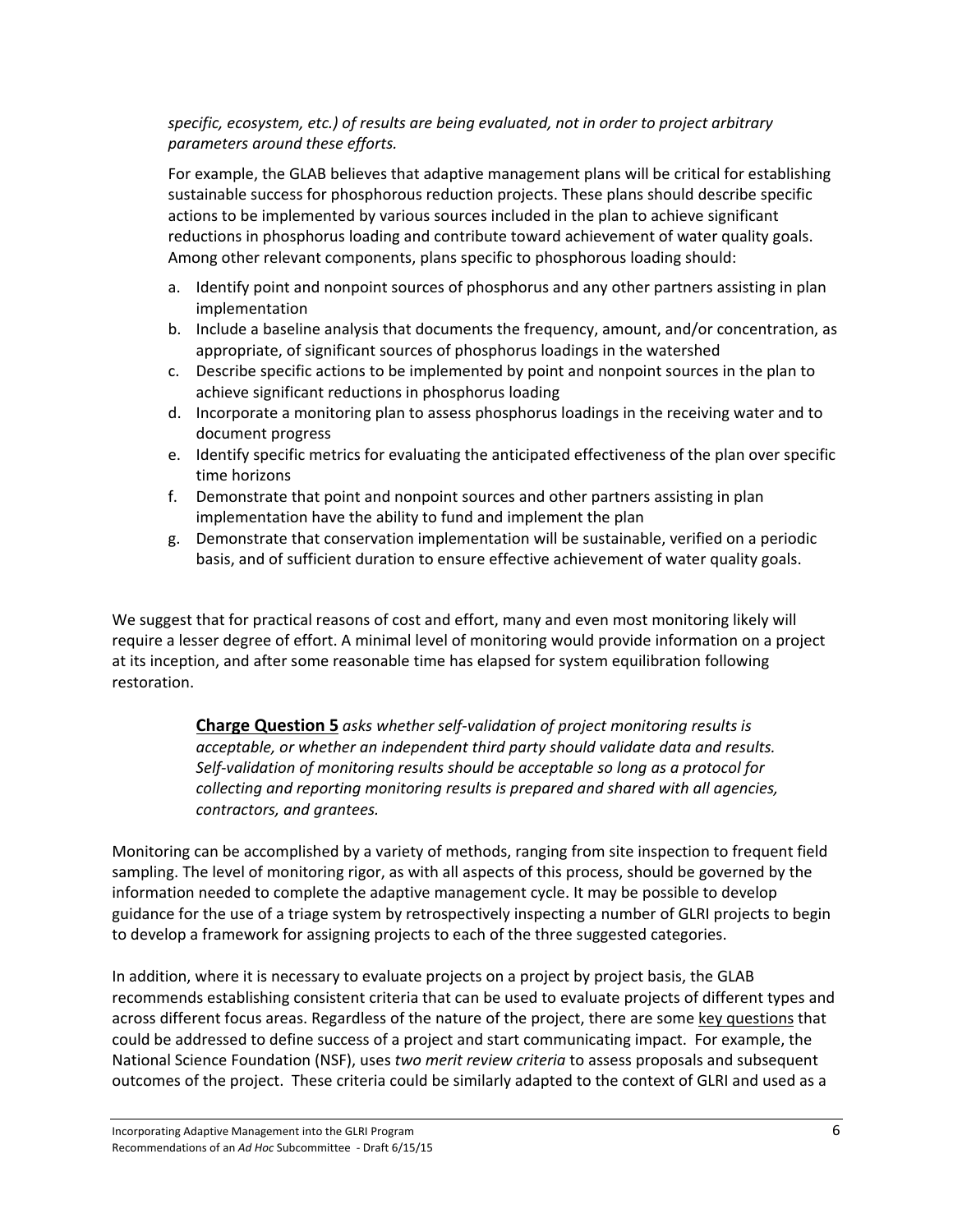### *specific, ecosystem, etc.) of results are being evaluated, not in order to project arbitrary parameters around these efforts.*

For example, the GLAB believes that adaptive management plans will be critical for establishing sustainable success for phosphorous reduction projects. These plans should describe specific actions to be implemented by various sources included in the plan to achieve significant reductions in phosphorus loading and contribute toward achievement of water quality goals. Among other relevant components, plans specific to phosphorous loading should:

- a. Identify point and nonpoint sources of phosphorus and any other partners assisting in plan implementation
- b. Include a baseline analysis that documents the frequency, amount, and/or concentration, as appropriate, of significant sources of phosphorus loadings in the watershed
- c. Describe specific actions to be implemented by point and nonpoint sources in the plan to achieve significant reductions in phosphorus loading
- d. Incorporate a monitoring plan to assess phosphorus loadings in the receiving water and to document progress
- e. Identify specific metrics for evaluating the anticipated effectiveness of the plan over specific time horizons
- f. Demonstrate that point and nonpoint sources and other partners assisting in plan implementation have the ability to fund and implement the plan
- g. Demonstrate that conservation implementation will be sustainable, verified on a periodic basis, and of sufficient duration to ensure effective achievement of water quality goals.

We suggest that for practical reasons of cost and effort, many and even most monitoring likely will require a lesser degree of effort. A minimal level of monitoring would provide information on a project at its inception, and after some reasonable time has elapsed for system equilibration following restoration.

> **Charge Question 5** *asks whether self‐validation of project monitoring results is acceptable, or whether an independent third party should validate data and results. Self‐validation of monitoring results should be acceptable so long as a protocol for collecting and reporting monitoring results is prepared and shared with all agencies, contractors, and grantees.*

Monitoring can be accomplished by a variety of methods, ranging from site inspection to frequent field sampling. The level of monitoring rigor, as with all aspects of this process, should be governed by the information needed to complete the adaptive management cycle. It may be possible to develop guidance for the use of a triage system by retrospectively inspecting a number of GLRI projects to begin to develop a framework for assigning projects to each of the three suggested categories.

In addition, where it is necessary to evaluate projects on a project by project basis, the GLAB recommends establishing consistent criteria that can be used to evaluate projects of different types and across different focus areas. Regardless of the nature of the project, there are some key questions that could be addressed to define success of a project and start communicating impact. For example, the National Science Foundation (NSF), uses *two merit review criteria* to assess proposals and subsequent outcomes of the project. These criteria could be similarly adapted to the context of GLRI and used as a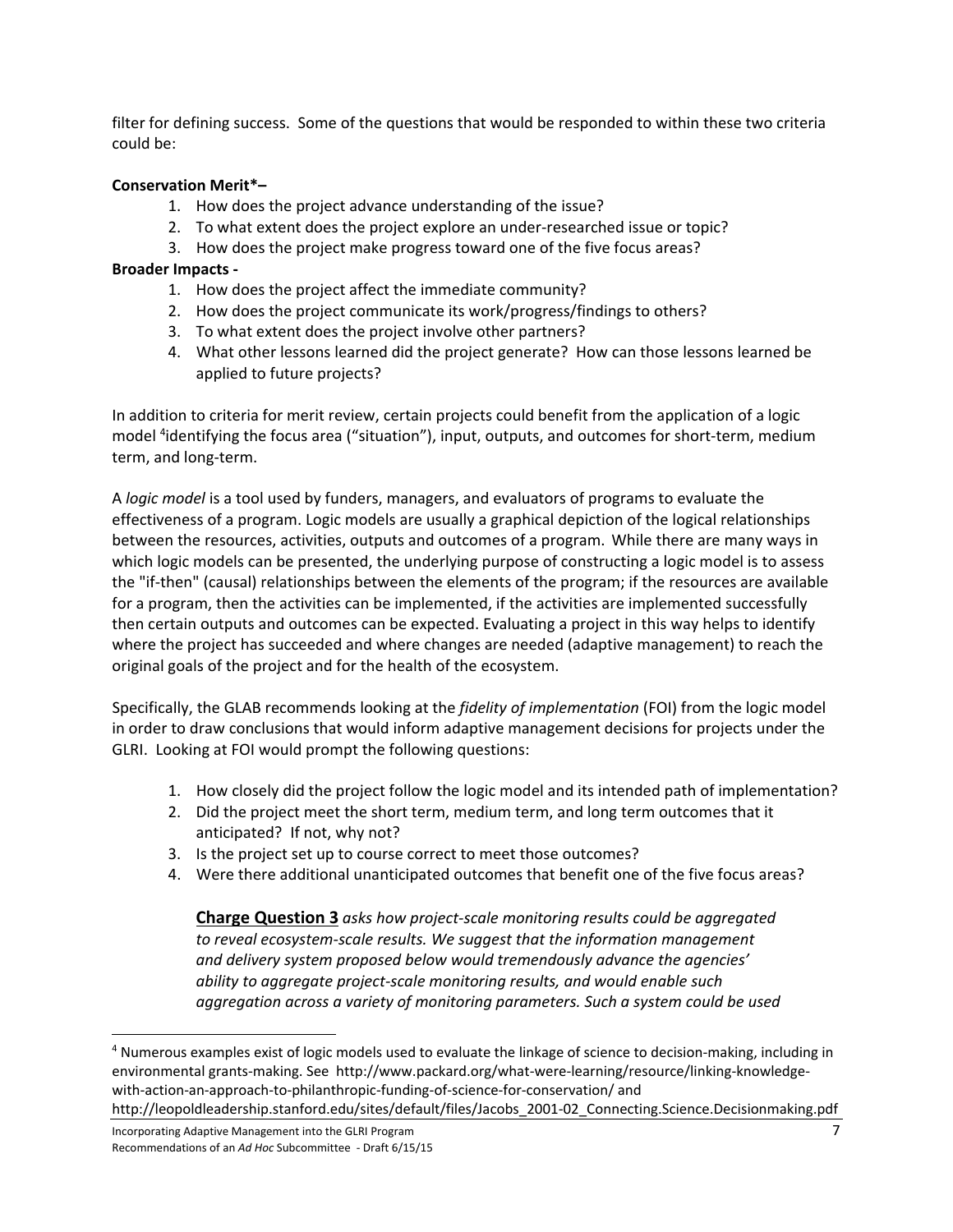filter for defining success. Some of the questions that would be responded to within these two criteria could be:

#### **Conservation Merit\*–**

- 1. How does the project advance understanding of the issue?
- 2. To what extent does the project explore an under‐researched issue or topic?
- 3. How does the project make progress toward one of the five focus areas?

### **Broader Impacts ‐**

- 1. How does the project affect the immediate community?
- 2. How does the project communicate its work/progress/findings to others?
- 3. To what extent does the project involve other partners?
- 4. What other lessons learned did the project generate? How can those lessons learned be applied to future projects?

In addition to criteria for merit review, certain projects could benefit from the application of a logic model <sup>4</sup>identifying the focus area ("situation"), input, outputs, and outcomes for short-term, medium term, and long‐term.

A *logic model* is a tool used by funders, managers, and evaluators of programs to evaluate the effectiveness of a program. Logic models are usually a graphical depiction of the logical relationships between the resources, activities, outputs and outcomes of a program. While there are many ways in which logic models can be presented, the underlying purpose of constructing a logic model is to assess the "if-then" (causal) relationships between the elements of the program; if the resources are available for a program, then the activities can be implemented, if the activities are implemented successfully then certain outputs and outcomes can be expected. Evaluating a project in this way helps to identify where the project has succeeded and where changes are needed (adaptive management) to reach the original goals of the project and for the health of the ecosystem.

Specifically, the GLAB recommends looking at the *fidelity of implementation* (FOI) from the logic model in order to draw conclusions that would inform adaptive management decisions for projects under the GLRI. Looking at FOI would prompt the following questions:

- 1. How closely did the project follow the logic model and its intended path of implementation?
- 2. Did the project meet the short term, medium term, and long term outcomes that it anticipated? If not, why not?
- 3. Is the project set up to course correct to meet those outcomes?
- 4. Were there additional unanticipated outcomes that benefit one of the five focus areas?

**Charge Question 3** *asks how project‐scale monitoring results could be aggregated to reveal ecosystem‐scale results. We suggest that the information management and delivery system proposed below would tremendously advance the agencies' ability to aggregate project‐scale monitoring results, and would enable such aggregation across a variety of monitoring parameters. Such a system could be used*

<sup>4</sup> Numerous examples exist of logic models used to evaluate the linkage of science to decision‐making, including in environmental grants-making. See http://www.packard.org/what-were-learning/resource/linking-knowledgewith-action-an-approach-to-philanthropic-funding-of-science-for-conservation/ and http://leopoldleadership.stanford.edu/sites/default/files/Jacobs\_2001‐02\_Connecting.Science.Decisionmaking.pdf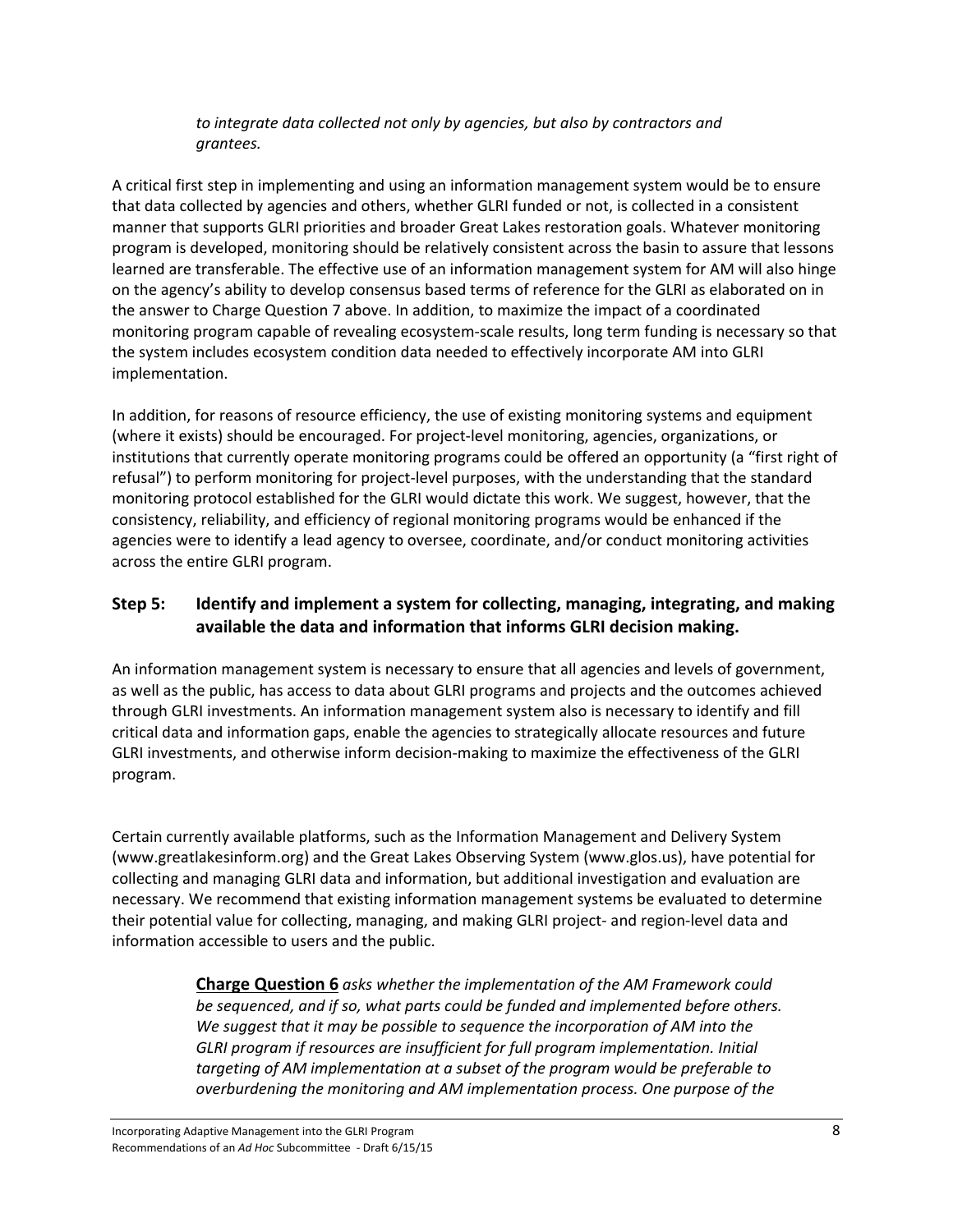### *to integrate data collected not only by agencies, but also by contractors and grantees.*

A critical first step in implementing and using an information management system would be to ensure that data collected by agencies and others, whether GLRI funded or not, is collected in a consistent manner that supports GLRI priorities and broader Great Lakes restoration goals. Whatever monitoring program is developed, monitoring should be relatively consistent across the basin to assure that lessons learned are transferable. The effective use of an information management system for AM will also hinge on the agency's ability to develop consensus based terms of reference for the GLRI as elaborated on in the answer to Charge Question 7 above. In addition, to maximize the impact of a coordinated monitoring program capable of revealing ecosystem‐scale results, long term funding is necessary so that the system includes ecosystem condition data needed to effectively incorporate AM into GLRI implementation.

In addition, for reasons of resource efficiency, the use of existing monitoring systems and equipment (where it exists) should be encouraged. For project‐level monitoring, agencies, organizations, or institutions that currently operate monitoring programs could be offered an opportunity (a "first right of refusal") to perform monitoring for project-level purposes, with the understanding that the standard monitoring protocol established for the GLRI would dictate this work. We suggest, however, that the consistency, reliability, and efficiency of regional monitoring programs would be enhanced if the agencies were to identify a lead agency to oversee, coordinate, and/or conduct monitoring activities across the entire GLRI program.

### **Step 5: Identify and implement a system for collecting, managing, integrating, and making available the data and information that informs GLRI decision making.**

An information management system is necessary to ensure that all agencies and levels of government, as well as the public, has access to data about GLRI programs and projects and the outcomes achieved through GLRI investments. An information management system also is necessary to identify and fill critical data and information gaps, enable the agencies to strategically allocate resources and future GLRI investments, and otherwise inform decision‐making to maximize the effectiveness of the GLRI program.

Certain currently available platforms, such as the Information Management and Delivery System (www.greatlakesinform.org) and the Great Lakes Observing System (www.glos.us), have potential for collecting and managing GLRI data and information, but additional investigation and evaluation are necessary. We recommend that existing information management systems be evaluated to determine their potential value for collecting, managing, and making GLRI project‐ and region‐level data and information accessible to users and the public.

> **Charge Question 6** *asks whether the implementation of the AM Framework could be sequenced, and if so, what parts could be funded and implemented before others. We suggest that it may be possible to sequence the incorporation of AM into the GLRI program if resources are insufficient for full program implementation. Initial targeting of AM implementation at a subset of the program would be preferable to overburdening the monitoring and AM implementation process. One purpose of the*